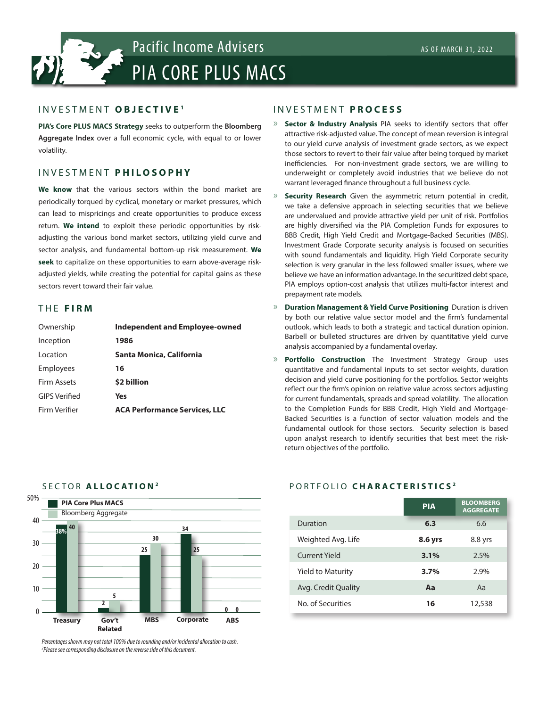

# INVESTMENT **OBJECTIVE <sup>1</sup>**

**PIA's Core PLUS MACS Strategy** seeks to outperform the **Bloomberg Aggregate Index** over a full economic cycle, with equal to or lower volatility.

# INVESTMENT **P H I L O S O P H Y**

**We know** that the various sectors within the bond market are periodically torqued by cyclical, monetary or market pressures, which can lead to mispricings and create opportunities to produce excess return. **We intend** to exploit these periodic opportunities by riskadjusting the various bond market sectors, utilizing yield curve and sector analysis, and fundamental bottom-up risk measurement. **We seek** to capitalize on these opportunities to earn above-average riskadjusted yields, while creating the potential for capital gains as these sectors revert toward their fair value.

### THE **FIRM**

| Ownership          | Independent and Employee-owned       |
|--------------------|--------------------------------------|
| Inception          | 1986                                 |
| Location           | Santa Monica, California             |
| <b>Employees</b>   | 16                                   |
| <b>Firm Assets</b> | \$2 billion                          |
| GIPS Verified      | Yes                                  |
| Firm Verifier      | <b>ACA Performance Services, LLC</b> |
|                    |                                      |

# INVESTMENT **PROCESS**

- » **Sector & Industry Analysis** PIA seeks to identify sectors that offer attractive risk-adjusted value. The concept of mean reversion is integral to our yield curve analysis of investment grade sectors, as we expect those sectors to revert to their fair value after being torqued by market inefficiencies. For non-investment grade sectors, we are willing to underweight or completely avoid industries that we believe do not warrant leveraged finance throughout a full business cycle.
- Security Research Given the asymmetric return potential in credit, we take a defensive approach in selecting securities that we believe are undervalued and provide attractive yield per unit of risk. Portfolios are highly diversified via the PIA Completion Funds for exposures to BBB Credit, High Yield Credit and Mortgage-Backed Securities (MBS). Investment Grade Corporate security analysis is focused on securities with sound fundamentals and liquidity. High Yield Corporate security selection is very granular in the less followed smaller issues, where we believe we have an information advantage. In the securitized debt space, PIA employs option-cost analysis that utilizes multi-factor interest and prepayment rate models.
- » **Duration Management & Yield Curve Positioning** Duration is driven by both our relative value sector model and the firm's fundamental outlook, which leads to both a strategic and tactical duration opinion. Barbell or bulleted structures are driven by quantitative yield curve analysis accompanied by a fundamental overlay.
- » **Portfolio Construction** The Investment Strategy Group uses quantitative and fundamental inputs to set sector weights, duration decision and yield curve positioning for the portfolios. Sector weights reflect our the firm's opinion on relative value across sectors adjusting for current fundamentals, spreads and spread volatility. The allocation to the Completion Funds for BBB Credit, High Yield and Mortgage-Backed Securities is a function of sector valuation models and the fundamental outlook for those sectors. Security selection is based upon analyst research to identify securities that best meet the riskreturn objectives of the portfolio.

#### 50% 40 30 20 10  $\Omega$ **PIA Core Plus MACS** Bloomberg Aggregate **Treasury Gov't Related MBS ABS Corporate 38% 2 5 25 30 25 34 0 0 40**

SECTOR **ALLOCATION <sup>2</sup>**

# PORTFOLIO **CHARACTERISTICS <sup>2</sup>**

|                          | <b>PIA</b> | <b>BLOOMBERG</b><br><b>AGGREGATE</b> |  |
|--------------------------|------------|--------------------------------------|--|
| Duration                 | 6.3        | 6.6                                  |  |
| Weighted Avg. Life       | 8.6 yrs    | 8.8 yrs                              |  |
| Current Yield            | 3.1%       | 2.5%                                 |  |
| <b>Yield to Maturity</b> | 3.7%       | 2.9%                                 |  |
| Avg. Credit Quality      | Aa         | Aa                                   |  |
| No. of Securities        | 16         | 12,538                               |  |

*Percentages shown may not total 100% due to rounding and/or incidental allocation to cash. 2 Please see corresponding disclosure on the reverse side of this document.*